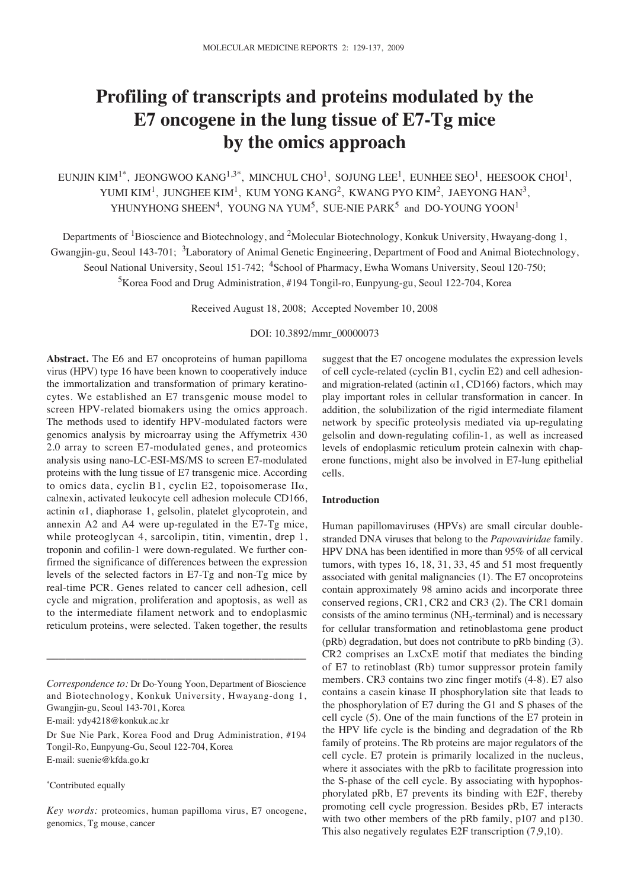# **Profiling of transcripts and proteins modulated by the E7 oncogene in the lung tissue of E7-Tg mice by the omics approach**

EUNJIN KIM<sup>1\*</sup>, JEONGWOO KANG<sup>1,3\*</sup>, MINCHUL CHO<sup>1</sup>, SOJUNG LEE<sup>1</sup>, EUNHEE SEO<sup>1</sup>, HEESOOK CHOI<sup>1</sup>, YUMI KIM<sup>1</sup>, JUNGHEE KIM<sup>1</sup>, KUM YONG KANG<sup>2</sup>, KWANG PYO KIM<sup>2</sup>, JAEYONG HAN<sup>3</sup>, YHUNYHONG SHEEN<sup>4</sup>, YOUNG NA YUM<sup>5</sup>, SUE-NIE PARK<sup>5</sup> and DO-YOUNG YOON<sup>1</sup>

Departments of <sup>1</sup>Bioscience and Biotechnology, and <sup>2</sup>Molecular Biotechnology, Konkuk University, Hwayang-dong 1, Gwangjin-gu, Seoul 143-701; <sup>3</sup>Laboratory of Animal Genetic Engineering, Department of Food and Animal Biotechnology, Seoul National University, Seoul 151-742; <sup>4</sup>School of Pharmacy, Ewha Womans University, Seoul 120-750; 5Korea Food and Drug Administration, #194 Tongil-ro, Eunpyung-gu, Seoul 122-704, Korea

Received August 18, 2008; Accepted November 10, 2008

# DOI: 10.3892/mmr\_00000073

**Abstract.** The E6 and E7 oncoproteins of human papilloma virus (HPV) type 16 have been known to cooperatively induce the immortalization and transformation of primary keratinocytes. We established an E7 transgenic mouse model to screen HPV-related biomakers using the omics approach. The methods used to identify HPV-modulated factors were genomics analysis by microarray using the Affymetrix 430 2.0 array to screen E7-modulated genes, and proteomics analysis using nano-LC-ESI-MS/MS to screen E7-modulated proteins with the lung tissue of E7 transgenic mice. According to omics data, cyclin B1, cyclin E2, topoisomerase  $II\alpha$ , calnexin, activated leukocyte cell adhesion molecule CD166, actinin  $\alpha$ 1, diaphorase 1, gelsolin, platelet glycoprotein, and annexin A2 and A4 were up-regulated in the E7-Tg mice, while proteoglycan 4, sarcolipin, titin, vimentin, drep 1, troponin and cofilin-1 were down-regulated. We further confirmed the significance of differences between the expression levels of the selected factors in E7-Tg and non-Tg mice by real-time PCR. Genes related to cancer cell adhesion, cell cycle and migration, proliferation and apoptosis, as well as to the intermediate filament network and to endoplasmic reticulum proteins, were selected. Taken together, the results

\_\_\_\_\_\_\_\_\_\_\_\_\_\_\_\_\_\_\_\_\_\_\_\_\_\_\_\_\_\_\_\_\_\_\_\_\_\_\_\_\_

E-mail: ydy4218@konkuk.ac.kr

Dr Sue Nie Park, Korea Food and Drug Administration, #194 Tongil-Ro, Eunpyung-Gu, Seoul 122-704, Korea E-mail: suenie@kfda.go.kr

#### \* Contributed equally

suggest that the E7 oncogene modulates the expression levels of cell cycle-related (cyclin B1, cyclin E2) and cell adhesionand migration-related (actinin  $\alpha$ 1, CD166) factors, which may play important roles in cellular transformation in cancer. In addition, the solubilization of the rigid intermediate filament network by specific proteolysis mediated via up-regulating gelsolin and down-regulating cofilin-1, as well as increased levels of endoplasmic reticulum protein calnexin with chaperone functions, might also be involved in E7-lung epithelial cells.

#### **Introduction**

Human papillomaviruses (HPVs) are small circular doublestranded DNA viruses that belong to the *Papovaviridae* family. HPV DNA has been identified in more than 95% of all cervical tumors, with types 16, 18, 31, 33, 45 and 51 most frequently associated with genital malignancies (1). The E7 oncoproteins contain approximately 98 amino acids and incorporate three conserved regions, CR1, CR2 and CR3 (2). The CR1 domain consists of the amino terminus ( $NH<sub>2</sub>$ -terminal) and is necessary for cellular transformation and retinoblastoma gene product (pRb) degradation, but does not contribute to pRb binding (3). CR2 comprises an LxCxE motif that mediates the binding of E7 to retinoblast (Rb) tumor suppressor protein family members. CR3 contains two zinc finger motifs (4-8). E7 also contains a casein kinase II phosphorylation site that leads to the phosphorylation of E7 during the G1 and S phases of the cell cycle (5). One of the main functions of the E7 protein in the HPV life cycle is the binding and degradation of the Rb family of proteins. The Rb proteins are major regulators of the cell cycle. E7 protein is primarily localized in the nucleus, where it associates with the pRb to facilitate progression into the S-phase of the cell cycle. By associating with hypophosphorylated pRb, E7 prevents its binding with E2F, thereby promoting cell cycle progression. Besides pRb, E7 interacts with two other members of the pRb family, p107 and p130. This also negatively regulates E2F transcription (7,9,10).

*Correspondence to:* Dr Do-Young Yoon, Department of Bioscience and Biotechnology, Konkuk University, Hwayang-dong 1, Gwangjin-gu, Seoul 143-701, Korea

*Key words:* proteomics, human papilloma virus, E7 oncogene, genomics, Tg mouse, cancer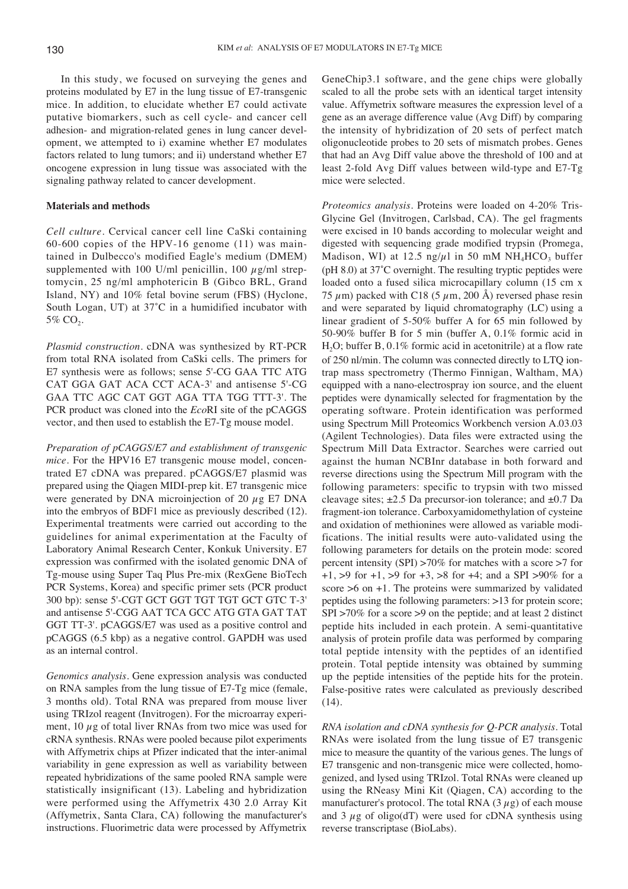In this study, we focused on surveying the genes and proteins modulated by E7 in the lung tissue of E7-transgenic mice. In addition, to elucidate whether E7 could activate putative biomarkers, such as cell cycle- and cancer cell adhesion- and migration-related genes in lung cancer development, we attempted to i) examine whether E7 modulates factors related to lung tumors; and ii) understand whether E7 oncogene expression in lung tissue was associated with the signaling pathway related to cancer development.

## **Materials and methods**

*Cell culture*. Cervical cancer cell line CaSki containing 60-600 copies of the HPV-16 genome (11) was maintained in Dulbecco's modified Eagle's medium (DMEM) supplemented with 100 U/ml penicillin, 100  $\mu$ g/ml streptomycin, 25 ng/ml amphotericin B (Gibco BRL, Grand Island, NY) and 10% fetal bovine serum (FBS) (Hyclone, South Logan, UT) at 37˚C in a humidified incubator with 5% CO<sub>2</sub>.

*Plasmid construction*. cDNA was synthesized by RT-PCR from total RNA isolated from CaSki cells. The primers for E7 synthesis were as follows; sense 5'-CG GAA TTC ATG CAT GGA GAT ACA CCT ACA-3' and antisense 5'-CG GAA TTC AGC CAT GGT AGA TTA TGG TTT-3'. The PCR product was cloned into the *Eco*RI site of the pCAGGS vector, and then used to establish the E7-Tg mouse model.

*Preparation of pCAGGS/E7 and establishment of transgenic mice*. For the HPV16 E7 transgenic mouse model, concentrated E7 cDNA was prepared. pCAGGS/E7 plasmid was prepared using the Qiagen MIDI-prep kit. E7 transgenic mice were generated by DNA microinjection of 20  $\mu$ g E7 DNA into the embryos of BDF1 mice as previously described (12). Experimental treatments were carried out according to the guidelines for animal experimentation at the Faculty of Laboratory Animal Research Center, Konkuk University. E7 expression was confirmed with the isolated genomic DNA of Tg-mouse using Super Taq Plus Pre-mix (RexGene BioTech PCR Systems, Korea) and specific primer sets (PCR product 300 bp): sense 5'-CGT GCT GGT TGT TGT GCT GTC T-3' and antisense 5'-CGG AAT TCA GCC ATG GTA GAT TAT GGT TT-3'. pCAGGS/E7 was used as a positive control and pCAGGS (6.5 kbp) as a negative control. GAPDH was used as an internal control.

*Genomics analysis*. Gene expression analysis was conducted on RNA samples from the lung tissue of E7-Tg mice (female, 3 months old). Total RNA was prepared from mouse liver using TRIzol reagent (Invitrogen). For the microarray experiment,  $10 \mu$ g of total liver RNAs from two mice was used for cRNA synthesis. RNAs were pooled because pilot experiments with Affymetrix chips at Pfizer indicated that the inter-animal variability in gene expression as well as variability between repeated hybridizations of the same pooled RNA sample were statistically insignificant (13). Labeling and hybridization were performed using the Affymetrix 430 2.0 Array Kit (Affymetrix, Santa Clara, CA) following the manufacturer's instructions. Fluorimetric data were processed by Affymetrix

GeneChip3.1 software, and the gene chips were globally scaled to all the probe sets with an identical target intensity value. Affymetrix software measures the expression level of a gene as an average difference value (Avg Diff) by comparing the intensity of hybridization of 20 sets of perfect match oligonucleotide probes to 20 sets of mismatch probes. Genes that had an Avg Diff value above the threshold of 100 and at least 2-fold Avg Diff values between wild-type and E7-Tg mice were selected.

*Proteomics analysis*. Proteins were loaded on 4-20% Tris-Glycine Gel (Invitrogen, Carlsbad, CA). The gel fragments were excised in 10 bands according to molecular weight and digested with sequencing grade modified trypsin (Promega, Madison, WI) at 12.5 ng/ $\mu$ l in 50 mM NH<sub>4</sub>HCO<sub>3</sub> buffer (pH 8.0) at 37˚C overnight. The resulting tryptic peptides were loaded onto a fused silica microcapillary column (15 cm x 75  $\mu$ m) packed with C18 (5  $\mu$ m, 200 Å) reversed phase resin and were separated by liquid chromatography (LC) using a linear gradient of 5-50% buffer A for 65 min followed by 50-90% buffer B for 5 min (buffer A, 0.1% formic acid in  $H<sub>2</sub>O$ ; buffer B, 0.1% formic acid in acetonitrile) at a flow rate of 250 nl/min. The column was connected directly to LTQ iontrap mass spectrometry (Thermo Finnigan, Waltham, MA) equipped with a nano-electrospray ion source, and the eluent peptides were dynamically selected for fragmentation by the operating software. Protein identification was performed using Spectrum Mill Proteomics Workbench version A.03.03 (Agilent Technologies). Data files were extracted using the Spectrum Mill Data Extractor. Searches were carried out against the human NCBInr database in both forward and reverse directions using the Spectrum Mill program with the following parameters: specific to trypsin with two missed cleavage sites; ±2.5 Da precursor-ion tolerance; and ±0.7 Da fragment-ion tolerance. Carboxyamidomethylation of cysteine and oxidation of methionines were allowed as variable modifications. The initial results were auto-validated using the following parameters for details on the protein mode: scored percent intensity (SPI) >70% for matches with a score >7 for +1, >9 for +1, >9 for +3, >8 for +4; and a SPI >90% for a score >6 on +1. The proteins were summarized by validated peptides using the following parameters: >13 for protein score; SPI >70% for a score >9 on the peptide; and at least 2 distinct peptide hits included in each protein. A semi-quantitative analysis of protein profile data was performed by comparing total peptide intensity with the peptides of an identified protein. Total peptide intensity was obtained by summing up the peptide intensities of the peptide hits for the protein. False-positive rates were calculated as previously described (14).

*RNA isolation and cDNA synthesis for Q-PCR analysis*. Total RNAs were isolated from the lung tissue of E7 transgenic mice to measure the quantity of the various genes. The lungs of E7 transgenic and non-transgenic mice were collected, homogenized, and lysed using TRIzol. Total RNAs were cleaned up using the RNeasy Mini Kit (Qiagen, CA) according to the manufacturer's protocol. The total RNA  $(3 \mu g)$  of each mouse and 3  $\mu$ g of oligo(dT) were used for cDNA synthesis using reverse transcriptase (BioLabs).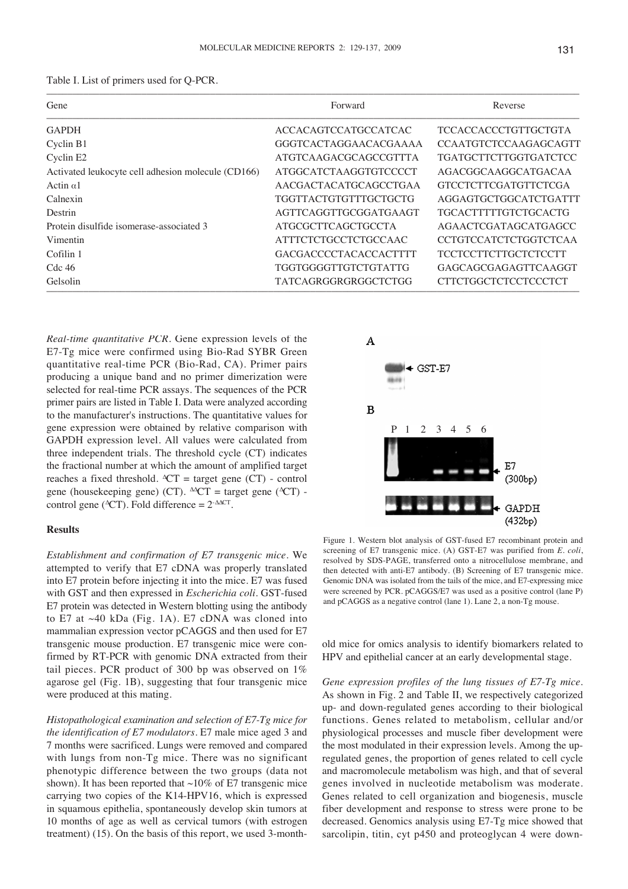|  |  | Table I. List of primers used for Q-PCR. |
|--|--|------------------------------------------|
|--|--|------------------------------------------|

| Gene                                               | Forward                      | Reverse                      |
|----------------------------------------------------|------------------------------|------------------------------|
| <b>GAPDH</b>                                       | ACCACAGTCCATGCCATCAC         | TCCACCACCCTGTTGCTGTA         |
| Cyclin B1                                          | GGGTCACTAGGAACACGAAAA        | <b>CCAATGTCTCCAAGAGCAGTT</b> |
| Cyclin E <sub>2</sub>                              | ATGTCAAGACGCAGCCGTTTA        | <b>TGATGCTTCTTGGTGATCTCC</b> |
| Activated leukocyte cell adhesion molecule (CD166) | ATGGCATCTAAGGTGTCCCCT        | AGACGGCAAGGCATGACAA          |
| Actin $\alpha$ 1                                   | AACGACTACATGCAGCCTGAA        | <b>GTCCTCTTCGATGTTCTCGA</b>  |
| Calnexin                                           | TGGTTACTGTGTTTGCTGCTG        | AGGAGTGCTGGCATCTGATTT        |
| Destrin                                            | AGTTCAGGTTGCGGATGAAGT        | <b>TGCACTTTTTGTCTGCACTG</b>  |
| Protein disulfide isomerase-associated 3           | <b>ATGCGCTTCAGCTGCCTA</b>    | AGAACTCGATAGCATGAGCC         |
| Vimentin                                           | ATTTCTCTGCCTCTGCCAAC         | <b>CCTGTCCATCTCTGGTCTCAA</b> |
| Cofilin 1                                          | <b>GACGACCCCTACACCACTTTT</b> | <b>TCCTCCTTCTTGCTCTCCTT</b>  |
| $Cdc$ 46                                           | TGGTGGGGTTGTCTGTATTG         | GAGCAGCGAGAGTTCAAGGT         |
| Gelsolin                                           | TATCAGRGGRGRGGCTCTGG         | <b>CTTCTGGCTCTCCTCCCTCT</b>  |

*Real-time quantitative PCR*. Gene expression levels of the E7-Tg mice were confirmed using Bio-Rad SYBR Green quantitative real-time PCR (Bio-Rad, CA). Primer pairs producing a unique band and no primer dimerization were selected for real-time PCR assays. The sequences of the PCR primer pairs are listed in Table I. Data were analyzed according to the manufacturer's instructions. The quantitative values for gene expression were obtained by relative comparison with GAPDH expression level. All values were calculated from three independent trials. The threshold cycle (CT) indicates the fractional number at which the amount of amplified target reaches a fixed threshold. ΔCT = target gene (CT) - control gene (housekeeping gene) (CT).  $\triangle$ CT = target gene ( $\triangle$ CT) control gene ( $\text{CCT}$ ). Fold difference =  $2 \text{-} \Delta \text{CCT}$ .

## **Results**

*Establishment and confirmation of E7 transgenic mice*. We attempted to verify that E7 cDNA was properly translated into E7 protein before injecting it into the mice. E7 was fused with GST and then expressed in *Escherichia coli*. GST-fused E7 protein was detected in Western blotting using the antibody to E7 at ~40 kDa (Fig. 1A). E7 cDNA was cloned into mammalian expression vector pCAGGS and then used for E7 transgenic mouse production. E7 transgenic mice were confirmed by RT-PCR with genomic DNA extracted from their tail pieces. PCR product of 300 bp was observed on 1% agarose gel (Fig. 1B), suggesting that four transgenic mice were produced at this mating.

*Histopathological examination and selection of E7-Tg mice for the identification of E7 modulators*. E7 male mice aged 3 and 7 months were sacrificed. Lungs were removed and compared with lungs from non-Tg mice. There was no significant phenotypic difference between the two groups (data not shown). It has been reported that  $\sim$ 10% of E7 transgenic mice carrying two copies of the K14-HPV16, which is expressed in squamous epithelia, spontaneously develop skin tumors at 10 months of age as well as cervical tumors (with estrogen treatment) (15). On the basis of this report, we used 3-month-



Figure 1. Western blot analysis of GST-fused E7 recombinant protein and screening of E7 transgenic mice. (A) GST-E7 was purified from *E. coli*, resolved by SDS-PAGE, transferred onto a nitrocellulose membrane, and then detected with anti-E7 antibody. (B) Screening of E7 transgenic mice. Genomic DNA was isolated from the tails of the mice, and E7-expressing mice were screened by PCR. pCAGGS/E7 was used as a positive control (lane P) and pCAGGS as a negative control (lane 1). Lane 2, a non-Tg mouse.

old mice for omics analysis to identify biomarkers related to HPV and epithelial cancer at an early developmental stage.

*Gene expression profiles of the lung tissues of E7-Tg mice*. As shown in Fig. 2 and Table II, we respectively categorized up- and down-regulated genes according to their biological functions. Genes related to metabolism, cellular and/or physiological processes and muscle fiber development were the most modulated in their expression levels. Among the upregulated genes, the proportion of genes related to cell cycle and macromolecule metabolism was high, and that of several genes involved in nucleotide metabolism was moderate. Genes related to cell organization and biogenesis, muscle fiber development and response to stress were prone to be decreased. Genomics analysis using E7-Tg mice showed that sarcolipin, titin, cyt p450 and proteoglycan 4 were down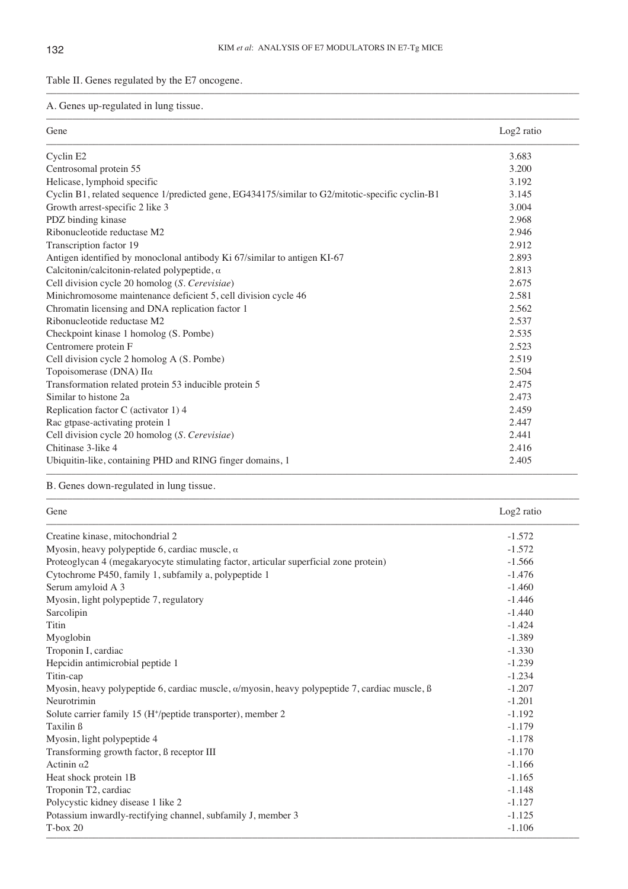–––––––––––––––––––––––––––––––––––––––––––––––––––––––––––––––––––––––––––––––––––––––––––––––––––––

Table II. Genes regulated by the E7 oncogene.

A. Genes up-regulated in lung tissue.

| Gene                                                                                            | Log <sub>2</sub> ratio |
|-------------------------------------------------------------------------------------------------|------------------------|
| Cyclin E2                                                                                       | 3.683                  |
| Centrosomal protein 55                                                                          | 3.200                  |
| Helicase, lymphoid specific                                                                     | 3.192                  |
| Cyclin B1, related sequence 1/predicted gene, EG434175/similar to G2/mitotic-specific cyclin-B1 | 3.145                  |
| Growth arrest-specific 2 like 3                                                                 | 3.004                  |
| PDZ binding kinase                                                                              | 2.968                  |
| Ribonucleotide reductase M2                                                                     | 2.946                  |
| Transcription factor 19                                                                         | 2.912                  |
| Antigen identified by monoclonal antibody Ki 67/similar to antigen KI-67                        | 2.893                  |
| Calcitonin/calcitonin-related polypeptide, $\alpha$                                             | 2.813                  |
| Cell division cycle 20 homolog (S. Cerevisiae)                                                  | 2.675                  |
| Minichromosome maintenance deficient 5, cell division cycle 46                                  | 2.581                  |
| Chromatin licensing and DNA replication factor 1                                                | 2.562                  |
| Ribonucleotide reductase M2                                                                     | 2.537                  |
| Checkpoint kinase 1 homolog (S. Pombe)                                                          | 2.535                  |
| Centromere protein F                                                                            | 2.523                  |
| Cell division cycle 2 homolog A (S. Pombe)                                                      | 2.519                  |
| Topoisomerase (DNA) Πα                                                                          | 2.504                  |
| Transformation related protein 53 inducible protein 5                                           | 2.475                  |
| Similar to histone 2a                                                                           | 2.473                  |
| Replication factor C (activator 1) 4                                                            | 2.459                  |
| Rac gtpase-activating protein 1                                                                 | 2.447                  |
| Cell division cycle 20 homolog (S. Cerevisiae)                                                  | 2.441                  |
| Chitinase 3-like 4                                                                              | 2.416                  |
| Ubiquitin-like, containing PHD and RING finger domains, 1                                       | 2.405                  |

B. Genes down-regulated in lung tissue.

| Gene                                                                                                        | Log <sub>2</sub> ratio |
|-------------------------------------------------------------------------------------------------------------|------------------------|
| Creatine kinase, mitochondrial 2                                                                            | $-1.572$               |
| Myosin, heavy polypeptide 6, cardiac muscle, $\alpha$                                                       | $-1.572$               |
| Proteoglycan 4 (megakaryocyte stimulating factor, articular superficial zone protein)                       | $-1.566$               |
| Cytochrome P450, family 1, subfamily a, polypeptide 1                                                       | $-1.476$               |
| Serum amyloid A 3                                                                                           | $-1.460$               |
| Myosin, light polypeptide 7, regulatory                                                                     | $-1.446$               |
| Sarcolipin                                                                                                  | $-1.440$               |
| <b>Titin</b>                                                                                                | $-1.424$               |
| Myoglobin                                                                                                   | $-1.389$               |
| Troponin I, cardiac                                                                                         | $-1.330$               |
| Hepcidin antimicrobial peptide 1                                                                            | $-1.239$               |
| Titin-cap                                                                                                   | $-1.234$               |
| Myosin, heavy polypeptide 6, cardiac muscle, $\alpha$ /myosin, heavy polypeptide 7, cardiac muscle, $\beta$ | $-1.207$               |
| Neurotrimin                                                                                                 | $-1.201$               |
| Solute carrier family 15 (H <sup>+</sup> /peptide transporter), member 2                                    | $-1.192$               |
| Taxilin ß                                                                                                   | $-1.179$               |
| Myosin, light polypeptide 4                                                                                 | $-1.178$               |
| Transforming growth factor, ß receptor III                                                                  | $-1.170$               |
| Actinin $\alpha$ 2                                                                                          | $-1.166$               |
| Heat shock protein 1B                                                                                       | $-1.165$               |
| Troponin T2, cardiac                                                                                        | $-1.148$               |
| Polycystic kidney disease 1 like 2                                                                          | $-1.127$               |
| Potassium inwardly-rectifying channel, subfamily J, member 3                                                | $-1.125$               |
| $T-box 20$                                                                                                  | $-1.106$               |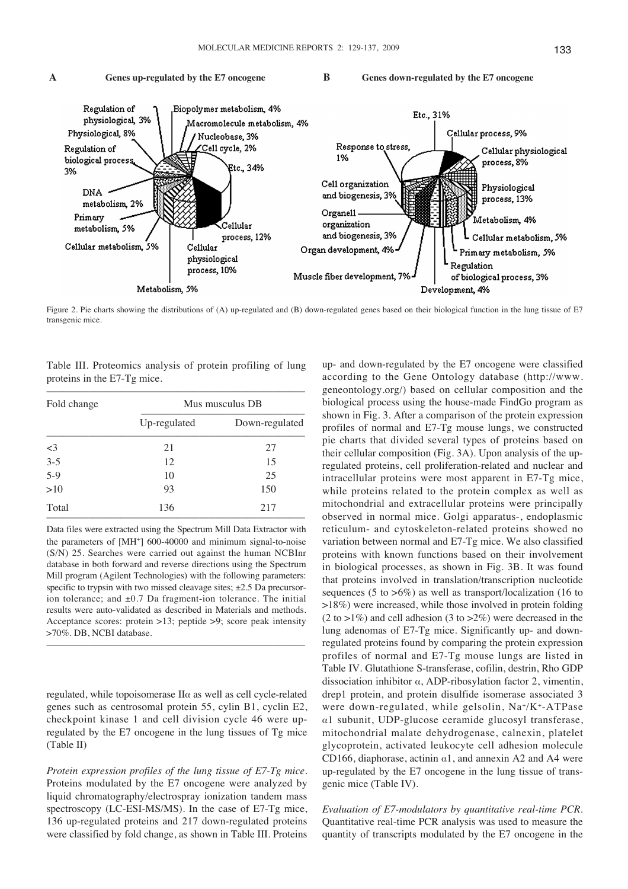

Figure 2. Pie charts showing the distributions of (A) up-regulated and (B) down-regulated genes based on their biological function in the lung tissue of E7 transgenic mice.

Table III. Proteomics analysis of protein profiling of lung proteins in the E7-Tg mice.

| Mus musculus DB |                |
|-----------------|----------------|
| Up-regulated    | Down-regulated |
| 21              | 27             |
| 12              | 15             |
| 10              | 25             |
| 93              | 150            |
| 136             | 217            |
|                 |                |

Data files were extracted using the Spectrum Mill Data Extractor with the parameters of [MH<sup>+</sup>] 600-40000 and minimum signal-to-noise (S/N) 25. Searches were carried out against the human NCBInr database in both forward and reverse directions using the Spectrum Mill program (Agilent Technologies) with the following parameters: specific to trypsin with two missed cleavage sites;  $\pm 2.5$  Da precursorion tolerance; and  $\pm 0.7$  Da fragment-ion tolerance. The initial results were auto-validated as described in Materials and methods. Acceptance scores: protein >13; peptide >9; score peak intensity >70%. DB, NCBI database.

–––––––––––––––––––––––––––––––––––––––––––––––––

regulated, while topoisomerase  $II\alpha$  as well as cell cycle-related genes such as centrosomal protein 55, cylin B1, cyclin E2, checkpoint kinase 1 and cell division cycle 46 were upregulated by the E7 oncogene in the lung tissues of Tg mice (Table II)

*Protein expression profiles of the lung tissue of E7-Tg mice*. Proteins modulated by the E7 oncogene were analyzed by liquid chromatography/electrospray ionization tandem mass spectroscopy (LC-ESI-MS/MS). In the case of E7-Tg mice, 136 up-regulated proteins and 217 down-regulated proteins were classified by fold change, as shown in Table III. Proteins

up- and down-regulated by the E7 oncogene were classified according to the Gene Ontology database (http://www. geneontology.org/) based on cellular composition and the biological process using the house-made FindGo program as shown in Fig. 3. After a comparison of the protein expression profiles of normal and E7-Tg mouse lungs, we constructed pie charts that divided several types of proteins based on their cellular composition (Fig. 3A). Upon analysis of the upregulated proteins, cell proliferation-related and nuclear and intracellular proteins were most apparent in E7-Tg mice, while proteins related to the protein complex as well as mitochondrial and extracellular proteins were principally observed in normal mice. Golgi apparatus-, endoplasmic reticulum- and cytoskeleton-related proteins showed no variation between normal and E7-Tg mice. We also classified proteins with known functions based on their involvement in biological processes, as shown in Fig. 3B. It was found that proteins involved in translation/transcription nucleotide sequences (5 to  $>6\%$ ) as well as transport/localization (16 to >18%) were increased, while those involved in protein folding  $(2 \text{ to } >1\%)$  and cell adhesion  $(3 \text{ to } >2\%)$  were decreased in the lung adenomas of E7-Tg mice. Significantly up- and downregulated proteins found by comparing the protein expression profiles of normal and E7-Tg mouse lungs are listed in Table IV. Glutathione S-transferase, cofilin, destrin, Rho GDP dissociation inhibitor  $\alpha$ , ADP-ribosylation factor 2, vimentin, drep1 protein, and protein disulfide isomerase associated 3 were down-regulated, while gelsolin, Na+/K+-ATPase  $\alpha$ 1 subunit, UDP-glucose ceramide glucosyl transferase, mitochondrial malate dehydrogenase, calnexin, platelet glycoprotein, activated leukocyte cell adhesion molecule CD166, diaphorase, actinin  $\alpha$ 1, and annexin A2 and A4 were up-regulated by the E7 oncogene in the lung tissue of transgenic mice (Table IV).

*Evaluation of E7-modulators by quantitative real-time PCR*. Quantitative real-time PCR analysis was used to measure the quantity of transcripts modulated by the E7 oncogene in the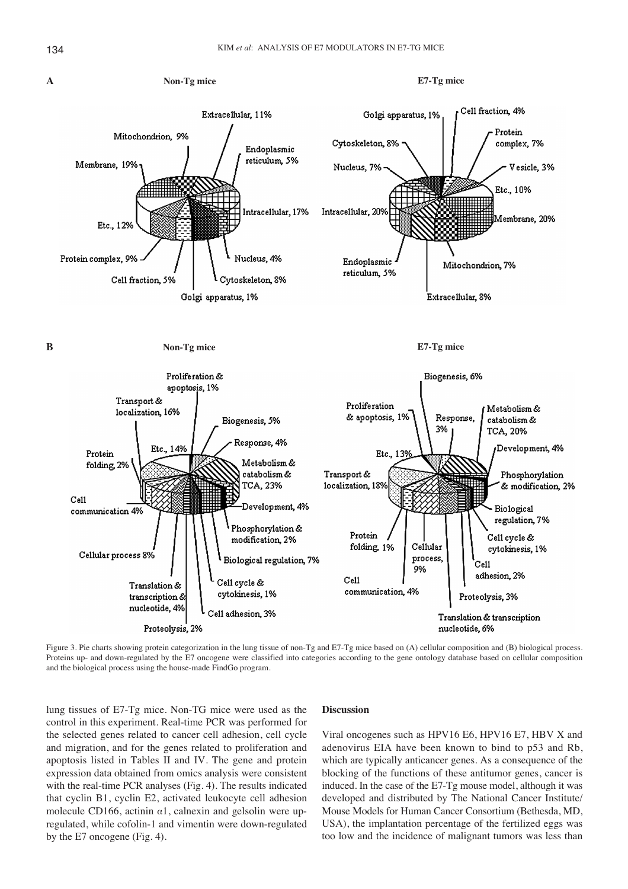

Figure 3. Pie charts showing protein categorization in the lung tissue of non-Tg and E7-Tg mice based on (A) cellular composition and (B) biological process. Proteins up- and down-regulated by the E7 oncogene were classified into categories according to the gene ontology database based on cellular composition and the biological process using the house-made FindGo program.

lung tissues of E7-Tg mice. Non-TG mice were used as the control in this experiment. Real-time PCR was performed for the selected genes related to cancer cell adhesion, cell cycle and migration, and for the genes related to proliferation and apoptosis listed in Tables II and IV. The gene and protein expression data obtained from omics analysis were consistent with the real-time PCR analyses (Fig. 4). The results indicated that cyclin B1, cyclin E2, activated leukocyte cell adhesion molecule CD166, actinin  $\alpha$ 1, calnexin and gelsolin were upregulated, while cofolin-1 and vimentin were down-regulated by the E7 oncogene (Fig. 4).

# **Discussion**

Viral oncogenes such as HPV16 E6, HPV16 E7, HBV X and adenovirus EIA have been known to bind to p53 and Rb, which are typically anticancer genes. As a consequence of the blocking of the functions of these antitumor genes, cancer is induced. In the case of the E7-Tg mouse model, although it was developed and distributed by The National Cancer Institute/ Mouse Models for Human Cancer Consortium (Bethesda, MD, USA), the implantation percentage of the fertilized eggs was too low and the incidence of malignant tumors was less than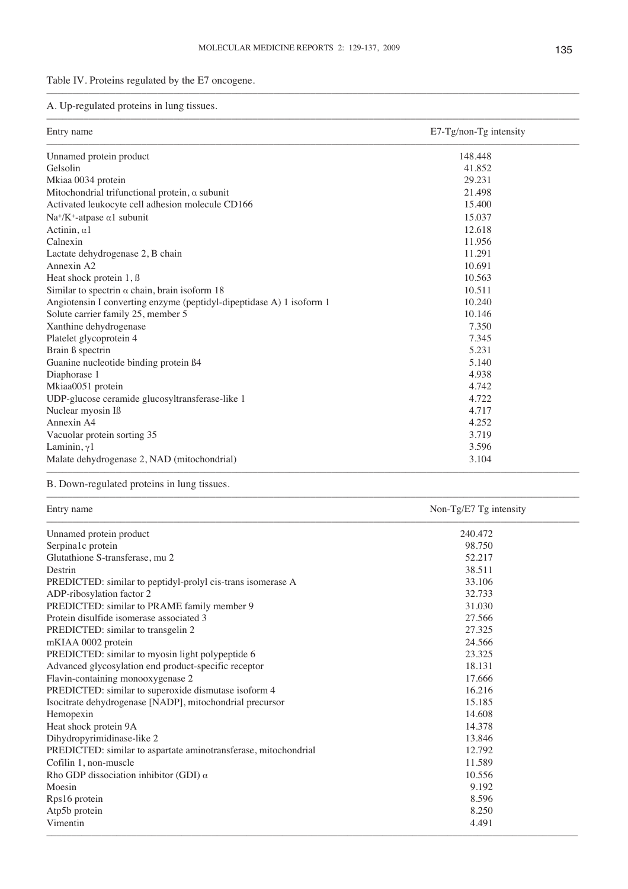–––––––––––––––––––––––––––––––––––––––––––––––––––––––––––––––––––––––––––––––––––––––––––––––––––––

Table IV. Proteins regulated by the E7 oncogene.

A. Up-regulated proteins in lung tissues.

| Entry name                                                           | E7-Tg/non-Tg intensity |  |
|----------------------------------------------------------------------|------------------------|--|
| Unnamed protein product                                              | 148.448                |  |
| Gelsolin                                                             | 41.852                 |  |
| Mkiaa 0034 protein                                                   | 29.231                 |  |
| Mitochondrial trifunctional protein, $\alpha$ subunit                | 21.498                 |  |
| Activated leukocyte cell adhesion molecule CD166                     | 15.400                 |  |
| $Na^{+}/K^{+}$ -atpase $\alpha$ 1 subunit                            | 15.037                 |  |
| Actinin, $\alpha$ 1                                                  | 12.618                 |  |
| Calnexin                                                             | 11.956                 |  |
| Lactate dehydrogenase 2, B chain                                     | 11.291                 |  |
| Annexin A2                                                           | 10.691                 |  |
| Heat shock protein 1, B                                              | 10.563                 |  |
| Similar to spectrin $\alpha$ chain, brain isoform 18                 | 10.511                 |  |
| Angiotensin I converting enzyme (peptidyl-dipeptidase A) 1 isoform 1 | 10.240                 |  |
| Solute carrier family 25, member 5                                   | 10.146                 |  |
| Xanthine dehydrogenase                                               | 7.350                  |  |
| Platelet glycoprotein 4                                              | 7.345                  |  |
| Brain ß spectrin                                                     | 5.231                  |  |
| Guanine nucleotide binding protein ß4                                | 5.140                  |  |
| Diaphorase 1                                                         | 4.938                  |  |
| Mkiaa0051 protein                                                    | 4.742                  |  |
| UDP-glucose ceramide glucosyltransferase-like 1                      | 4.722                  |  |
| Nuclear myosin Iß                                                    | 4.717                  |  |
| Annexin A4                                                           | 4.252                  |  |
| Vacuolar protein sorting 35                                          | 3.719                  |  |
| Laminin, $\gamma$ 1                                                  | 3.596                  |  |
| Malate dehydrogenase 2, NAD (mitochondrial)                          | 3.104                  |  |

B. Down-regulated proteins in lung tissues.

Entry name Non-Tg/E7 Tg intensity

| Unnamed protein product                                         | 240.472 |
|-----------------------------------------------------------------|---------|
| Serpina1c protein                                               | 98.750  |
| Glutathione S-transferase, mu 2                                 | 52.217  |
| Destrin                                                         | 38.511  |
| PREDICTED: similar to peptidyl-prolyl cis-trans isomerase A     | 33.106  |
| ADP-ribosylation factor 2                                       | 32.733  |
| PREDICTED: similar to PRAME family member 9                     | 31.030  |
| Protein disulfide isomerase associated 3                        | 27.566  |
| PREDICTED: similar to transgelin 2                              | 27.325  |
| mKIAA 0002 protein                                              | 24.566  |
| PREDICTED: similar to myosin light polypeptide 6                | 23.325  |
| Advanced glycosylation end product-specific receptor            | 18.131  |
| Flavin-containing monooxygenase 2                               | 17.666  |
| PREDICTED: similar to superoxide dismutase isoform 4            | 16.216  |
| Isocitrate dehydrogenase [NADP], mitochondrial precursor        | 15.185  |
| Hemopexin                                                       | 14.608  |
| Heat shock protein 9A                                           | 14.378  |
| Dihydropyrimidinase-like 2                                      | 13.846  |
| PREDICTED: similar to aspartate aminotransferase, mitochondrial | 12.792  |
| Cofilin 1, non-muscle                                           | 11.589  |
| Rho GDP dissociation inhibitor (GDI) $\alpha$                   | 10.556  |
| Moesin                                                          | 9.192   |
| Rps16 protein                                                   | 8.596   |
| Atp5b protein                                                   | 8.250   |
| Vimentin                                                        | 4.491   |

–––––––––––––––––––––––––––––––––––––––––––––––––––––––––––––––––––––––––––––––––––––––––––––––––––––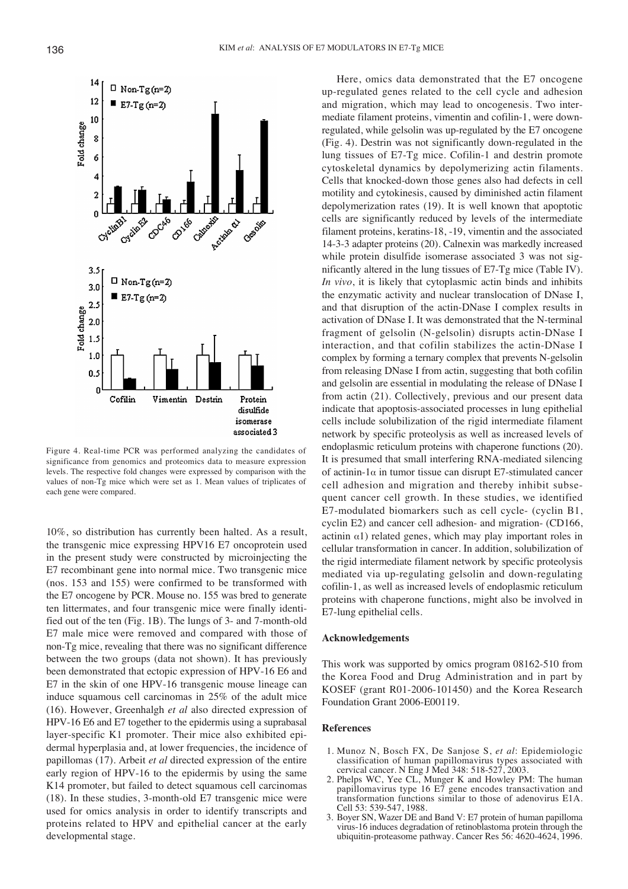

Figure 4. Real-time PCR was performed analyzing the candidates of significance from genomics and proteomics data to measure expression levels. The respective fold changes were expressed by comparison with the values of non-Tg mice which were set as 1. Mean values of triplicates of each gene were compared.

10%, so distribution has currently been halted. As a result, the transgenic mice expressing HPV16 E7 oncoprotein used in the present study were constructed by microinjecting the E7 recombinant gene into normal mice. Two transgenic mice (nos. 153 and 155) were confirmed to be transformed with the E7 oncogene by PCR. Mouse no. 155 was bred to generate ten littermates, and four transgenic mice were finally identified out of the ten (Fig. 1B). The lungs of 3- and 7-month-old E7 male mice were removed and compared with those of non-Tg mice, revealing that there was no significant difference between the two groups (data not shown). It has previously been demonstrated that ectopic expression of HPV-16 E6 and E7 in the skin of one HPV-16 transgenic mouse lineage can induce squamous cell carcinomas in 25% of the adult mice (16). However, Greenhalgh *et al* also directed expression of HPV-16 E6 and E7 together to the epidermis using a suprabasal layer-specific K1 promoter. Their mice also exhibited epidermal hyperplasia and, at lower frequencies, the incidence of papillomas (17). Arbeit *et al* directed expression of the entire early region of HPV-16 to the epidermis by using the same K14 promoter, but failed to detect squamous cell carcinomas (18). In these studies, 3-month-old E7 transgenic mice were used for omics analysis in order to identify transcripts and proteins related to HPV and epithelial cancer at the early developmental stage.

Here, omics data demonstrated that the E7 oncogene up-regulated genes related to the cell cycle and adhesion and migration, which may lead to oncogenesis. Two intermediate filament proteins, vimentin and cofilin-1, were downregulated, while gelsolin was up-regulated by the E7 oncogene (Fig. 4). Destrin was not significantly down-regulated in the lung tissues of E7-Tg mice. Cofilin-1 and destrin promote cytoskeletal dynamics by depolymerizing actin filaments. Cells that knocked-down those genes also had defects in cell motility and cytokinesis, caused by diminished actin filament depolymerization rates (19). It is well known that apoptotic cells are significantly reduced by levels of the intermediate filament proteins, keratins-18, -19, vimentin and the associated 14-3-3 adapter proteins (20). Calnexin was markedly increased while protein disulfide isomerase associated 3 was not significantly altered in the lung tissues of E7-Tg mice (Table IV). *In vivo*, it is likely that cytoplasmic actin binds and inhibits the enzymatic activity and nuclear translocation of DNase I, and that disruption of the actin-DNase I complex results in activation of DNase I. It was demonstrated that the N-terminal fragment of gelsolin (N-gelsolin) disrupts actin-DNase I interaction, and that cofilin stabilizes the actin-DNase I complex by forming a ternary complex that prevents N-gelsolin from releasing DNase I from actin, suggesting that both cofilin and gelsolin are essential in modulating the release of DNase I from actin (21). Collectively, previous and our present data indicate that apoptosis-associated processes in lung epithelial cells include solubilization of the rigid intermediate filament network by specific proteolysis as well as increased levels of endoplasmic reticulum proteins with chaperone functions (20). It is presumed that small interfering RNA-mediated silencing of actinin-1 $\alpha$  in tumor tissue can disrupt E7-stimulated cancer cell adhesion and migration and thereby inhibit subsequent cancer cell growth. In these studies, we identified E7-modulated biomarkers such as cell cycle- (cyclin B1, cyclin E2) and cancer cell adhesion- and migration- (CD166, actinin  $\alpha$ 1) related genes, which may play important roles in cellular transformation in cancer. In addition, solubilization of the rigid intermediate filament network by specific proteolysis mediated via up-regulating gelsolin and down-regulating cofilin-1, as well as increased levels of endoplasmic reticulum proteins with chaperone functions, might also be involved in E7-lung epithelial cells.

## **Acknowledgements**

This work was supported by omics program 08162-510 from the Korea Food and Drug Administration and in part by KOSEF (grant R01-2006-101450) and the Korea Research Foundation Grant 2006-E00119.

#### **References**

- 1. Munoz N, Bosch FX, De Sanjose S, *et al*: Epidemiologic classification of human papillomavirus types associated with cervical cancer. N Eng J Med 348: 518-527, 2003.
- 2. Phelps WC, Yee CL, Munger K and Howley PM: The human papillomavirus type 16 E7 gene encodes transactivation and transformation functions similar to those of adenovirus E1A. Cell 53: 539-547, 1988.
- 3. Boyer SN, Wazer DE and Band V: E7 protein of human papilloma virus-16 induces degradation of retinoblastoma protein through the ubiquitin-proteasome pathway. Cancer Res 56: 4620-4624, 1996.